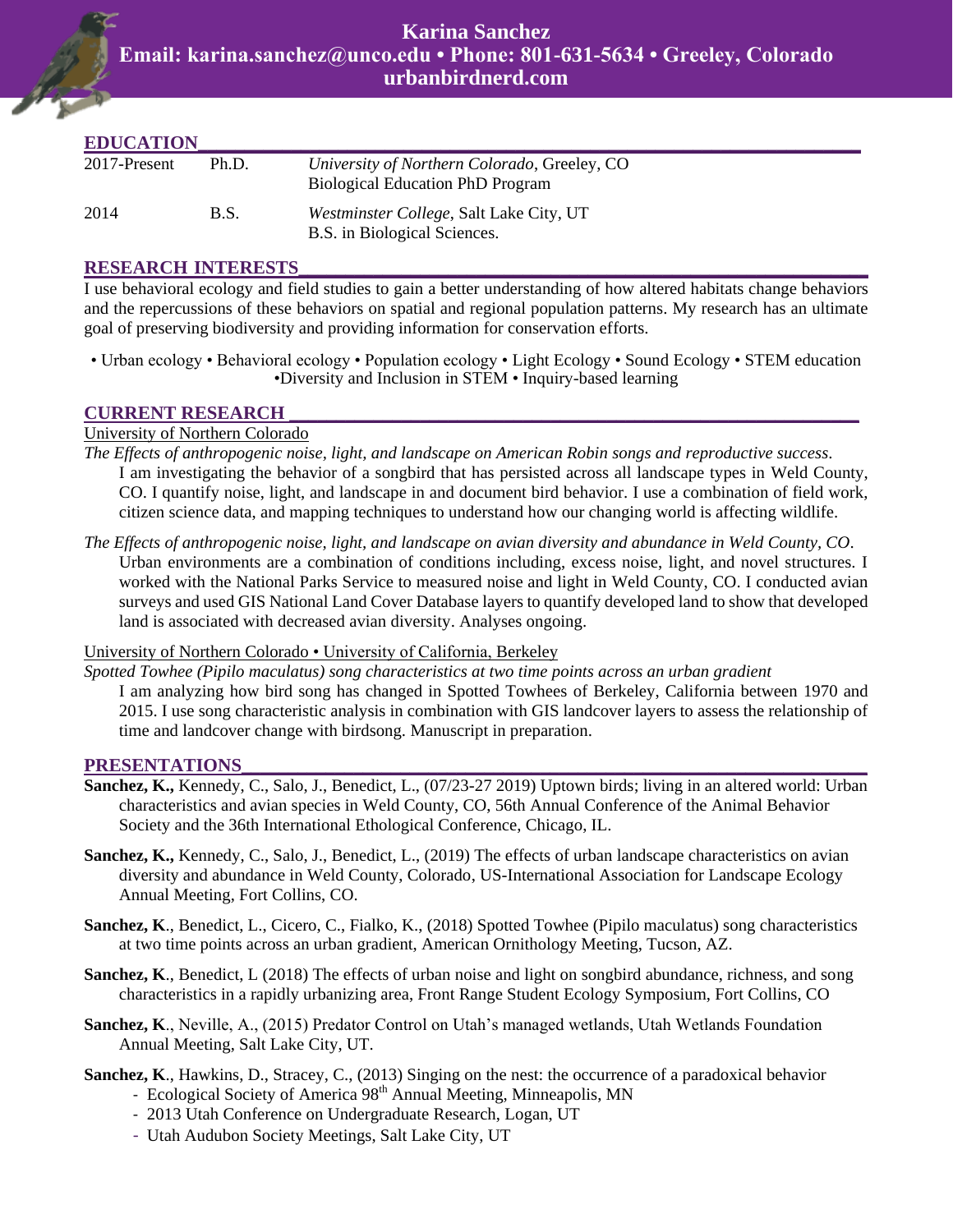| <b>EDUCATION</b> |             |                                                                                         |
|------------------|-------------|-----------------------------------------------------------------------------------------|
| 2017-Present     | Ph.D.       | University of Northern Colorado, Greeley, CO<br><b>Biological Education PhD Program</b> |
| 2014             | <b>B.S.</b> | <i>Westminster College, Salt Lake City, UT</i><br>B.S. in Biological Sciences.          |

#### **RESEARCH INTERESTS\_\_\_\_\_\_\_\_\_\_\_\_\_\_\_\_\_\_\_\_\_\_\_\_\_\_\_\_\_\_\_\_\_\_\_\_\_\_\_\_\_\_\_\_\_\_\_\_\_\_\_\_\_\_\_\_\_\_\_\_\_**

I use behavioral ecology and field studies to gain a better understanding of how altered habitats change behaviors and the repercussions of these behaviors on spatial and regional population patterns. My research has an ultimate goal of preserving biodiversity and providing information for conservation efforts.

• Urban ecology • Behavioral ecology • Population ecology • Light Ecology • Sound Ecology • STEM education •Diversity and Inclusion in STEM • Inquiry-based learning

## **CURRENT RESEARCH \_\_\_\_\_\_\_\_\_\_\_\_\_\_\_\_\_\_\_\_\_\_\_\_\_\_\_\_\_\_\_\_\_\_\_\_\_\_\_\_\_\_\_\_\_\_\_\_\_\_\_\_\_\_\_\_\_\_\_\_\_**

## University of Northern Colorado

- *The Effects of anthropogenic noise, light, and landscape on American Robin songs and reproductive success*. I am investigating the behavior of a songbird that has persisted across all landscape types in Weld County, CO. I quantify noise, light, and landscape in and document bird behavior. I use a combination of field work, citizen science data, and mapping techniques to understand how our changing world is affecting wildlife.
- *The Effects of anthropogenic noise, light, and landscape on avian diversity and abundance in Weld County, CO*. Urban environments are a combination of conditions including, excess noise, light, and novel structures. I worked with the National Parks Service to measured noise and light in Weld County, CO. I conducted avian surveys and used GIS National Land Cover Database layers to quantify developed land to show that developed land is associated with decreased avian diversity. Analyses ongoing.

University of Northern Colorado • University of California, Berkeley

*Spotted Towhee (Pipilo maculatus) song characteristics at two time points across an urban gradient* I am analyzing how bird song has changed in Spotted Towhees of Berkeley, California between 1970 and 2015. I use song characteristic analysis in combination with GIS landcover layers to assess the relationship of time and landcover change with birdsong. Manuscript in preparation.

#### PRESENTATIONS

- **Sanchez, K.,** Kennedy, C., Salo, J., Benedict, L., (07/23-27 2019) Uptown birds; living in an altered world: Urban characteristics and avian species in Weld County, CO, 56th Annual Conference of the Animal Behavior Society and the 36th International Ethological Conference, Chicago, IL.
- **Sanchez, K.,** Kennedy, C., Salo, J., Benedict, L., (2019) The effects of urban landscape characteristics on avian diversity and abundance in Weld County, Colorado, US-International Association for Landscape Ecology Annual Meeting, Fort Collins, CO.
- **Sanchez, K**., Benedict, L., Cicero, C., Fialko, K., (2018) Spotted Towhee (Pipilo maculatus) song characteristics at two time points across an urban gradient, American Ornithology Meeting, Tucson, AZ.
- **Sanchez, K**., Benedict, L (2018) The effects of urban noise and light on songbird abundance, richness, and song characteristics in a rapidly urbanizing area, Front Range Student Ecology Symposium, Fort Collins, CO
- **Sanchez, K**., Neville, A., (2015) Predator Control on Utah's managed wetlands, Utah Wetlands Foundation Annual Meeting, Salt Lake City, UT.
- **Sanchez, K**., Hawkins, D., Stracey, C., (2013) Singing on the nest: the occurrence of a paradoxical behavior - Ecological Society of America 98<sup>th</sup> Annual Meeting, Minneapolis, MN
	- 2013 Utah Conference on Undergraduate Research, Logan, UT
	- Utah Audubon Society Meetings, Salt Lake City, UT